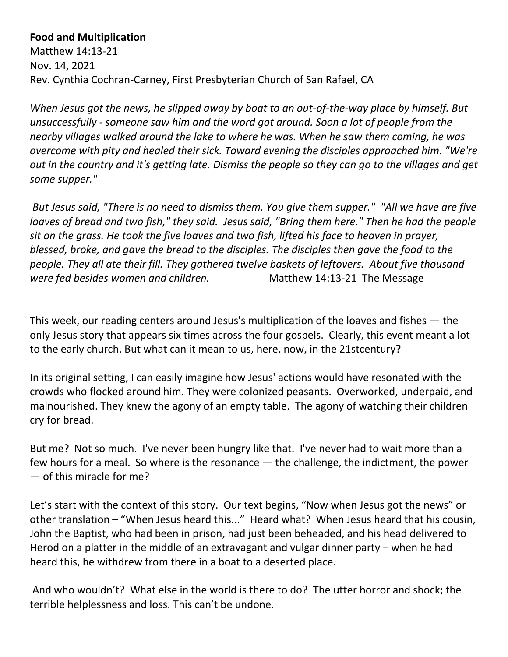## **Food and Multiplication**

Matthew 14:13-21 Nov. 14, 2021 Rev. Cynthia Cochran-Carney, First Presbyterian Church of San Rafael, CA

*When Jesus got the news, he slipped away by boat to an out-of-the-way place by himself. But unsuccessfully - someone saw him and the word got around. Soon a lot of people from the nearby villages walked around the lake to where he was. When he saw them coming, he was overcome with pity and healed their sick. Toward evening the disciples approached him. "We're out in the country and it's getting late. Dismiss the people so they can go to the villages and get some supper."* 

*But Jesus said, "There is no need to dismiss them. You give them supper." "All we have are five loaves of bread and two fish," they said. Jesus said, "Bring them here." Then he had the people sit on the grass. He took the five loaves and two fish, lifted his face to heaven in prayer, blessed, broke, and gave the bread to the disciples. The disciples then gave the food to the people. They all ate their fill. They gathered twelve baskets of leftovers. About five thousand were fed besides women and children.* Matthew 14:13-21 The Message

This week, our reading centers around Jesus's multiplication of the loaves and fishes — the only Jesus story that appears six times across the four gospels. Clearly, this event meant a lot to the early church. But what can it mean to us, here, now, in the 21stcentury?

In its original setting, I can easily imagine how Jesus' actions would have resonated with the crowds who flocked around him. They were colonized peasants. Overworked, underpaid, and malnourished. They knew the agony of an empty table. The agony of watching their children cry for bread.

But me? Not so much. I've never been hungry like that. I've never had to wait more than a few hours for a meal. So where is the resonance — the challenge, the indictment, the power — of this miracle for me?

Let's start with the context of this story. Our text begins, "Now when Jesus got the news" or other translation – "When Jesus heard this..." Heard what? When Jesus heard that his cousin, John the Baptist, who had been in prison, had just been beheaded, and his head delivered to Herod on a platter in the middle of an extravagant and vulgar dinner party – when he had heard this, he withdrew from there in a boat to a deserted place.

And who wouldn't? What else in the world is there to do? The utter horror and shock; the terrible helplessness and loss. This can't be undone.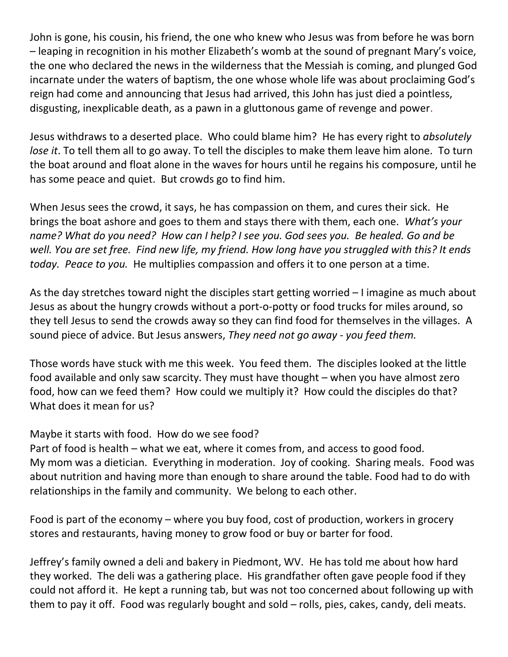John is gone, his cousin, his friend, the one who knew who Jesus was from before he was born – leaping in recognition in his mother Elizabeth's womb at the sound of pregnant Mary's voice, the one who declared the news in the wilderness that the Messiah is coming, and plunged God incarnate under the waters of baptism, the one whose whole life was about proclaiming God's reign had come and announcing that Jesus had arrived, this John has just died a pointless, disgusting, inexplicable death, as a pawn in a gluttonous game of revenge and power.

Jesus withdraws to a deserted place. Who could blame him? He has every right to *absolutely lose it*. To tell them all to go away. To tell the disciples to make them leave him alone. To turn the boat around and float alone in the waves for hours until he regains his composure, until he has some peace and quiet. But crowds go to find him.

When Jesus sees the crowd, it says, he has compassion on them, and cures their sick. He brings the boat ashore and goes to them and stays there with them, each one. *What's your name? What do you need? How can I help? I see you. God sees you. Be healed. Go and be well. You are set free. Find new life, my friend. How long have you struggled with this? It ends today. Peace to you.* He multiplies compassion and offers it to one person at a time.

As the day stretches toward night the disciples start getting worried – I imagine as much about Jesus as about the hungry crowds without a port-o-potty or food trucks for miles around, so they tell Jesus to send the crowds away so they can find food for themselves in the villages. A sound piece of advice. But Jesus answers, *They need not go away - you feed them.*

Those words have stuck with me this week. You feed them. The disciples looked at the little food available and only saw scarcity. They must have thought – when you have almost zero food, how can we feed them? How could we multiply it? How could the disciples do that? What does it mean for us?

## Maybe it starts with food. How do we see food?

Part of food is health – what we eat, where it comes from, and access to good food. My mom was a dietician. Everything in moderation. Joy of cooking. Sharing meals. Food was about nutrition and having more than enough to share around the table. Food had to do with relationships in the family and community. We belong to each other.

Food is part of the economy – where you buy food, cost of production, workers in grocery stores and restaurants, having money to grow food or buy or barter for food.

Jeffrey's family owned a deli and bakery in Piedmont, WV. He has told me about how hard they worked. The deli was a gathering place. His grandfather often gave people food if they could not afford it. He kept a running tab, but was not too concerned about following up with them to pay it off. Food was regularly bought and sold – rolls, pies, cakes, candy, deli meats.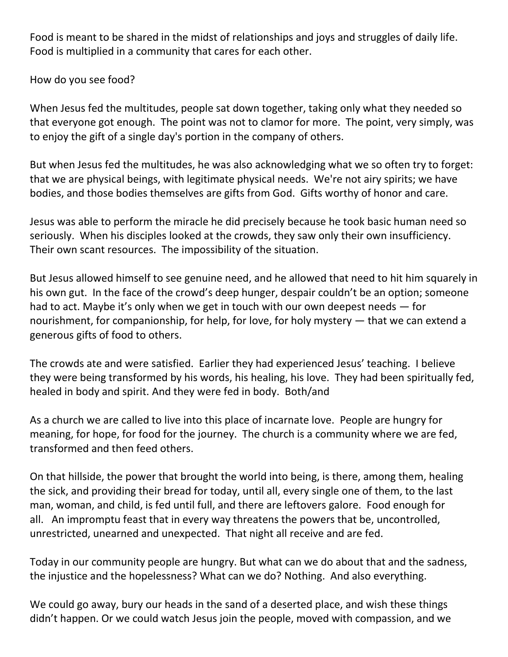Food is meant to be shared in the midst of relationships and joys and struggles of daily life. Food is multiplied in a community that cares for each other.

How do you see food?

When Jesus fed the multitudes, people sat down together, taking only what they needed so that everyone got enough. The point was not to clamor for more. The point, very simply, was to enjoy the gift of a single day's portion in the company of others.

But when Jesus fed the multitudes, he was also acknowledging what we so often try to forget: that we are physical beings, with legitimate physical needs. We're not airy spirits; we have bodies, and those bodies themselves are gifts from God. Gifts worthy of honor and care.

Jesus was able to perform the miracle he did precisely because he took basic human need so seriously. When his disciples looked at the crowds, they saw only their own insufficiency. Their own scant resources. The impossibility of the situation.

But Jesus allowed himself to see genuine need, and he allowed that need to hit him squarely in his own gut. In the face of the crowd's deep hunger, despair couldn't be an option; someone had to act. Maybe it's only when we get in touch with our own deepest needs — for nourishment, for companionship, for help, for love, for holy mystery — that we can extend a generous gifts of food to others.

The crowds ate and were satisfied. Earlier they had experienced Jesus' teaching. I believe they were being transformed by his words, his healing, his love. They had been spiritually fed, healed in body and spirit. And they were fed in body. Both/and

As a church we are called to live into this place of incarnate love. People are hungry for meaning, for hope, for food for the journey. The church is a community where we are fed, transformed and then feed others.

On that hillside, the power that brought the world into being, is there, among them, healing the sick, and providing their bread for today, until all, every single one of them, to the last man, woman, and child, is fed until full, and there are leftovers galore. Food enough for all. An impromptu feast that in every way threatens the powers that be, uncontrolled, unrestricted, unearned and unexpected. That night all receive and are fed.

Today in our community people are hungry. But what can we do about that and the sadness, the injustice and the hopelessness? What can we do? Nothing. And also everything.

We could go away, bury our heads in the sand of a deserted place, and wish these things didn't happen. Or we could watch Jesus join the people, moved with compassion, and we